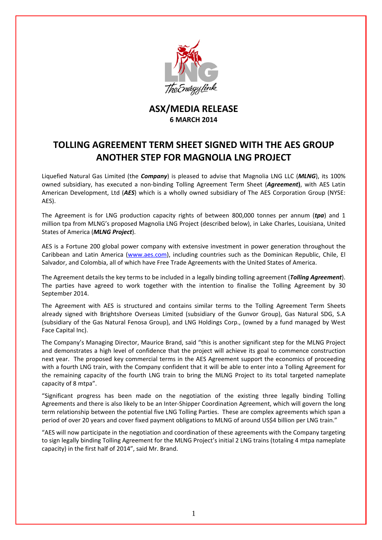

## **ASX/MEDIA RELEASE 6 MARCH 2014**

## **TOLLING AGREEMENT TERM SHEET SIGNED WITH THE AES GROUP ANOTHER STEP FOR MAGNOLIA LNG PROJECT**

Liquefied Natural Gas Limited (the *Company*) is pleased to advise that Magnolia LNG LLC (*MLNG*), its 100% owned subsidiary, has executed a non‐binding Tolling Agreement Term Sheet (*Agreement***)**, with AES Latin American Development, Ltd (*AES*) which is a wholly owned subsidiary of The AES Corporation Group (NYSE: AES).

The Agreement is for LNG production capacity rights of between 800,000 tonnes per annum (*tpa*) and 1 million tpa from MLNG's proposed Magnolia LNG Project (described below), in Lake Charles, Louisiana, United States of America (*MLNG Project*).

AES is a Fortune 200 global power company with extensive investment in power generation throughout the Caribbean and Latin America (www.aes.com), including countries such as the Dominican Republic, Chile, El Salvador, and Colombia, all of which have Free Trade Agreements with the United States of America.

The Agreement details the key terms to be included in a legally binding tolling agreement (*Tolling Agreement*). The parties have agreed to work together with the intention to finalise the Tolling Agreement by 30 September 2014.

The Agreement with AES is structured and contains similar terms to the Tolling Agreement Term Sheets already signed with Brightshore Overseas Limited (subsidiary of the Gunvor Group), Gas Natural SDG, S.A (subsidiary of the Gas Natural Fenosa Group), and LNG Holdings Corp., (owned by a fund managed by West Face Capital Inc).

The Company's Managing Director, Maurice Brand, said "this is another significant step for the MLNG Project and demonstrates a high level of confidence that the project will achieve its goal to commence construction next year. The proposed key commercial terms in the AES Agreement support the economics of proceeding with a fourth LNG train, with the Company confident that it will be able to enter into a Tolling Agreement for the remaining capacity of the fourth LNG train to bring the MLNG Project to its total targeted nameplate capacity of 8 mtpa".

"Significant progress has been made on the negotiation of the existing three legally binding Tolling Agreements and there is also likely to be an Inter‐Shipper Coordination Agreement, which will govern the long term relationship between the potential five LNG Tolling Parties. These are complex agreements which span a period of over 20 years and cover fixed payment obligations to MLNG of around US\$4 billion per LNG train."

"AES will now participate in the negotiation and coordination of these agreements with the Company targeting to sign legally binding Tolling Agreement for the MLNG Project's initial 2 LNG trains (totaling 4 mtpa nameplate capacity) in the first half of 2014", said Mr. Brand.